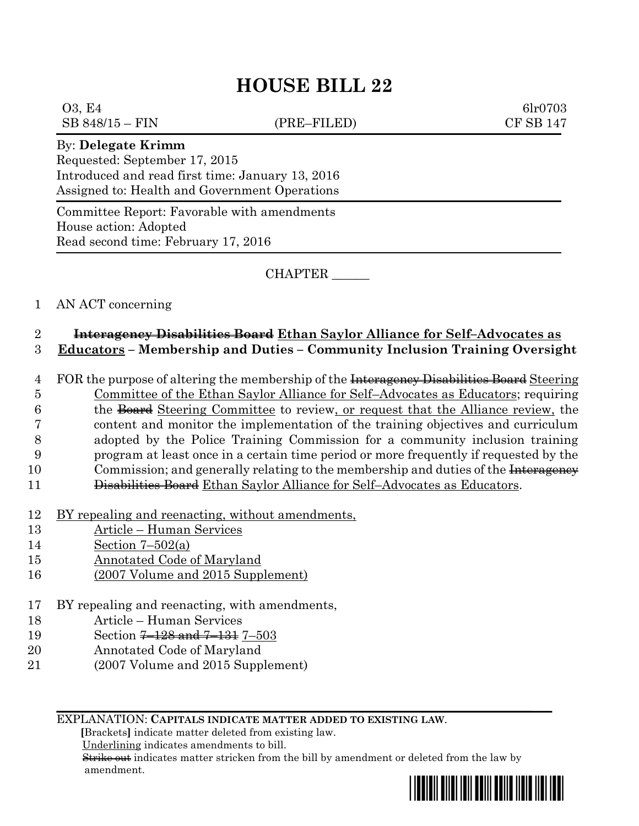# **HOUSE BILL 22**

| O3, E4<br>$SB 848/15 - FIN$                      | (PRE–FILED) | 6 <sub>lr</sub> 0703<br><b>CF SB 147</b> |  |  |  |  |
|--------------------------------------------------|-------------|------------------------------------------|--|--|--|--|
| By: Delegate Krimm                               |             |                                          |  |  |  |  |
| Requested: September 17, 2015                    |             |                                          |  |  |  |  |
| Introduced and read first time: January 13, 2016 |             |                                          |  |  |  |  |
| Assigned to: Health and Government Operations    |             |                                          |  |  |  |  |
| Committee Report: Favorable with amendments      |             |                                          |  |  |  |  |
| House action: Adopted                            |             |                                          |  |  |  |  |
| Read second time: February 17, 2016              |             |                                          |  |  |  |  |

CHAPTER \_\_\_\_\_\_

## 1 AN ACT concerning

#### 2 **Interagency Disabilities Board Ethan Saylor Alliance for Self–Advocates as**  3 **Educators – Membership and Duties – Community Inclusion Training Oversight**

4 FOR the purpose of altering the membership of the Interagency Disabilities Board Steering Committee of the Ethan Saylor Alliance for Self–Advocates as Educators; requiring the Board Steering Committee to review, or request that the Alliance review, the content and monitor the implementation of the training objectives and curriculum adopted by the Police Training Commission for a community inclusion training program at least once in a certain time period or more frequently if requested by the 10 Commission; and generally relating to the membership and duties of the <del>Interagency</del> 11 Disabilities Board Ethan Saylor Alliance for Self-Advocates as Educators.

- 12 BY repealing and reenacting, without amendments,
- 13 Article Human Services
- 14 Section 7–502(a)
- 15 Annotated Code of Maryland
- 16 (2007 Volume and 2015 Supplement)
- 17 BY repealing and reenacting, with amendments,
- 18 Article Human Services
- 19 Section <del>7–128 and 7–131</del> 7–503
- 20 Annotated Code of Maryland
- 21 (2007 Volume and 2015 Supplement)

EXPLANATION: **CAPITALS INDICATE MATTER ADDED TO EXISTING LAW**.

 **[**Brackets**]** indicate matter deleted from existing law.

Underlining indicates amendments to bill.

 Strike out indicates matter stricken from the bill by amendment or deleted from the law by amendment.

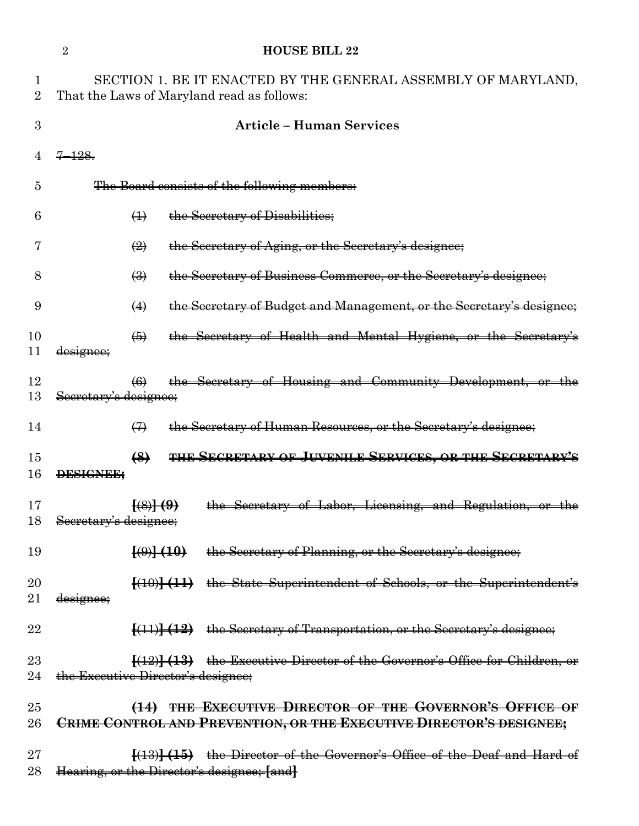|                           | $\overline{2}$<br><b>HOUSE BILL 22</b>                                                                                                   |  |  |  |
|---------------------------|------------------------------------------------------------------------------------------------------------------------------------------|--|--|--|
| $\perp$<br>$\overline{2}$ | SECTION 1. BE IT ENACTED BY THE GENERAL ASSEMBLY OF MARYLAND,<br>That the Laws of Maryland read as follows:                              |  |  |  |
| 3                         | <b>Article - Human Services</b>                                                                                                          |  |  |  |
|                           | <del>128.</del>                                                                                                                          |  |  |  |
| 5                         | The Board consists of the following members:                                                                                             |  |  |  |
| 6                         | the Secretary of Disabilities;<br>$\leftrightarrow$                                                                                      |  |  |  |
| 7                         | $\left(\frac{Q}{Q}\right)$<br>the Secretary of Aging, or the Secretary's designee;                                                       |  |  |  |
| 8                         | the Secretary of Business Commerce, or the Secretary's designee;<br>$\bigoplus$                                                          |  |  |  |
| 9                         | the Secretary of Budget and Management, or the Secretary's designee;<br>$\leftrightarrow$                                                |  |  |  |
| 10<br>11                  | the Secretary of Health and Mental Hygiene, or the Secretary's<br>$\bigoplus$<br>designee;                                               |  |  |  |
| 12<br>13                  | the Secretary of Housing and Community Development, or the<br>Secretary's designee:                                                      |  |  |  |
| 14                        | the Secretary of Human Resources, or the Secretary's designee;<br>$\leftrightarrow$                                                      |  |  |  |
| 15<br>16                  | $\left( 8 \right)$<br>THE SECRETARY OF JUVENILE SERVICES, OR THE SECRETARY'S<br><del>DESIGNEE:</del>                                     |  |  |  |
| 17                        | Secretary of Labor, Licensing, and Regulation, or the<br>18 Secretary's designee;                                                        |  |  |  |
| 19                        | $\frac{(\theta + 40)}{(\theta + 40)}$<br>the Secretary of Planning, or the Secretary's designee;                                         |  |  |  |
| 20<br>21                  | $\{ (10) \}$ (11) the State Superintendent of Schools, or the Superintendent's<br>designee;                                              |  |  |  |
| 22                        | $\{(11)\}$ (12) the Secretary of Transportation, or the Secretary's designee;                                                            |  |  |  |
| 23<br>24                  | $\left[\frac{12}{13}\right]$ (13) the Executive Director of the Governor's Office for Children, or<br>the Executive Director's designee; |  |  |  |
| $25\,$<br>$26\,$          | (14) THE EXECUTIVE DIRECTOR OF THE GOVERNOR'S OFFICE OF<br>CRIME CONTROL AND PREVENTION, OR THE EXECUTIVE DIRECTOR'S DESIGNEE;           |  |  |  |
| $27\,$<br>28              | $\{(13)\}$ (15) the Director of the Governor's Office of the Deaf and Hard of<br>Hearing, or the Director's designee; [and]              |  |  |  |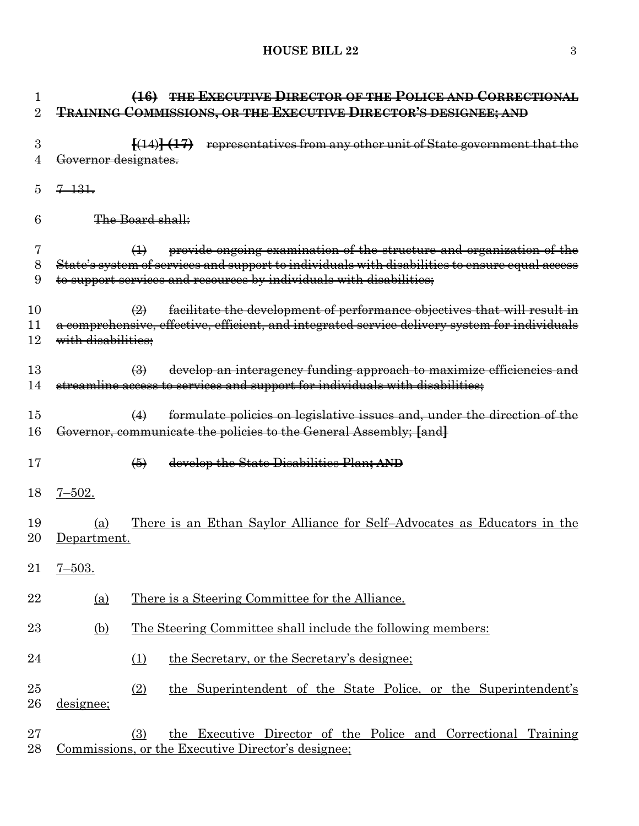## **HOUSE BILL 22** 3

| 1        | (16) THE EXECUTIVE DIRECTOR OF THE POLICE AND CORRECTIONAL                                            |
|----------|-------------------------------------------------------------------------------------------------------|
| 2        | TRAINING COMMISSIONS, OR THE EXECUTIVE DIRECTOR'S DESIGNEE; AND                                       |
| 3        | $\{ (14) \}$ $(17)$ representatives from any other unit of State government that the                  |
| 4        | Governor designates.                                                                                  |
| 5        | $7 - 131$                                                                                             |
| 6        | The Board shall:                                                                                      |
| 7        | provide ongoing examination of the structure and organization of the<br>$\leftrightarrow$             |
| 8        | State's system of services and support to individuals with disabilities to ensure equal access        |
| 9        | to support services and resources by individuals with disabilities;                                   |
| 10       | facilitate the development of performance objectives that will result in<br>$\leftrightarrow$         |
| 11       | a comprehensive, effective, efficient, and integrated service delivery system for individuals         |
| 12       | with disabilities:                                                                                    |
| 13       | develop an interagency funding approach to maximize efficiencies and<br>$\leftrightarrow$             |
| 14       | streamline access to services and support for individuals with disabilities;                          |
| 15       | formulate policies on legislative issues and, under the direction of the<br>(4)                       |
| 16       | Governor, communicate the policies to the General Assembly; [and]                                     |
| 17       | develop the State Disabilities Plan; AND<br>$\left( 6 \right)$                                        |
| 18       | $7 - 502.$                                                                                            |
|          |                                                                                                       |
| 19<br>20 | <u>There is an Ethan Saylor Alliance for Self-Advocates as Educators in the</u><br>(a)<br>Department. |
|          |                                                                                                       |
| 21       | $7 - 503.$                                                                                            |
| 22       | There is a Steering Committee for the Alliance.<br><u>(a)</u>                                         |
| 23       | The Steering Committee shall include the following members:<br><u>(b)</u>                             |
| 24       | the Secretary, or the Secretary's designee;<br>(1)                                                    |
| 25       | the Superintendent of the State Police, or the Superintendent's<br>(2)                                |
| $26\,$   | designee;                                                                                             |
| $27\,$   | the Executive Director of the Police and Correctional Training<br>(3)                                 |
| 28       | Commissions, or the Executive Director's designee;                                                    |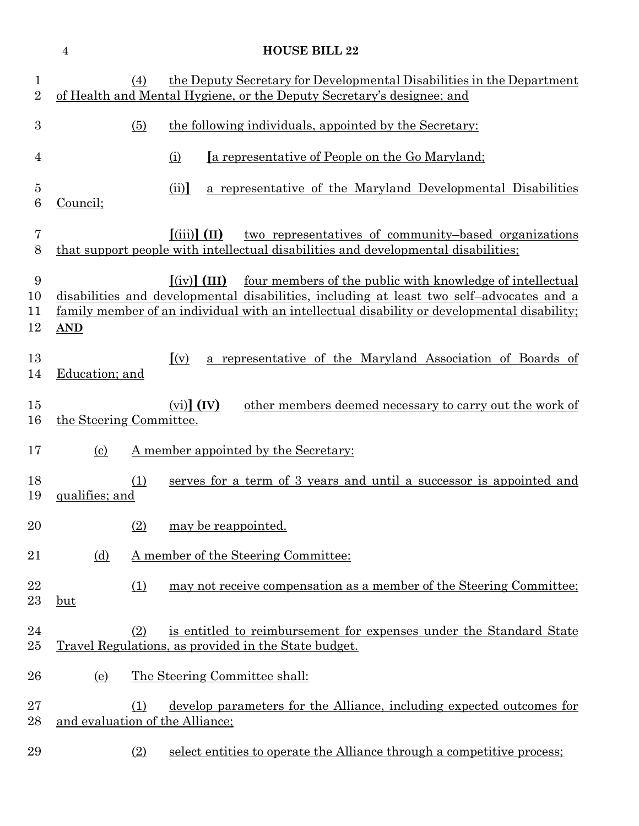|                                    | <b>HOUSE BILL 22</b><br>$\overline{4}$                                                                                                                                                                                                                                                                                  |            |                                                                                                                                                                                               |  |  |
|------------------------------------|-------------------------------------------------------------------------------------------------------------------------------------------------------------------------------------------------------------------------------------------------------------------------------------------------------------------------|------------|-----------------------------------------------------------------------------------------------------------------------------------------------------------------------------------------------|--|--|
| $\mathbf{1}$<br>$\overline{2}$     | the Deputy Secretary for Developmental Disabilities in the Department<br>(4)<br>of Health and Mental Hygiene, or the Deputy Secretary's designee; and                                                                                                                                                                   |            |                                                                                                                                                                                               |  |  |
| 3                                  |                                                                                                                                                                                                                                                                                                                         | (5)        | the following individuals, appointed by the Secretary:                                                                                                                                        |  |  |
| 4                                  |                                                                                                                                                                                                                                                                                                                         |            | (i)<br>a representative of People on the Go Maryland;                                                                                                                                         |  |  |
| $\overline{5}$<br>6                | Council;                                                                                                                                                                                                                                                                                                                |            | (ii)<br>a representative of the Maryland Developmental Disabilities                                                                                                                           |  |  |
| 7<br>8                             |                                                                                                                                                                                                                                                                                                                         |            | $\left[ \left( \text{iii} \right) \right]$ (II)<br>two representatives of community-based organizations<br>that support people with intellectual disabilities and developmental disabilities; |  |  |
| $\boldsymbol{9}$<br>10<br>11<br>12 | $\left[$ (iv) $\right]$ (III)<br><u>four members of the public with knowledge of intellectual</u><br>disabilities and developmental disabilities, including at least two self-advocates and a<br>family member of an individual with an intellectual disability or developmental disability;<br>$\overline{\text{AND}}$ |            |                                                                                                                                                                                               |  |  |
| 13<br>14                           | Education; and                                                                                                                                                                                                                                                                                                          |            | a representative of the Maryland Association of Boards of<br>(x)                                                                                                                              |  |  |
| 15<br>16                           | $(vi)$ $(V)$<br>other members deemed necessary to carry out the work of<br>the Steering Committee.                                                                                                                                                                                                                      |            |                                                                                                                                                                                               |  |  |
| 17                                 | $\left( \mathrm{c}\right)$                                                                                                                                                                                                                                                                                              |            | A member appointed by the Secretary:                                                                                                                                                          |  |  |
| 18<br>19                           | qualifies; and                                                                                                                                                                                                                                                                                                          | (1)        | serves for a term of 3 years and until a successor is appointed and                                                                                                                           |  |  |
| 20                                 |                                                                                                                                                                                                                                                                                                                         | (2)        | may be reappointed.                                                                                                                                                                           |  |  |
| 21                                 | <u>(d)</u>                                                                                                                                                                                                                                                                                                              |            | A member of the Steering Committee:                                                                                                                                                           |  |  |
| 22<br>23                           | but                                                                                                                                                                                                                                                                                                                     | <u>(1)</u> | may not receive compensation as a member of the Steering Committee;                                                                                                                           |  |  |
| 24<br>25                           |                                                                                                                                                                                                                                                                                                                         | (2)        | is entitled to reimbursement for expenses under the Standard State<br>Travel Regulations, as provided in the State budget.                                                                    |  |  |
| 26                                 | <u>(e)</u>                                                                                                                                                                                                                                                                                                              |            | The Steering Committee shall:                                                                                                                                                                 |  |  |
| 27<br>28                           |                                                                                                                                                                                                                                                                                                                         | (1)        | develop parameters for the Alliance, including expected outcomes for<br>and evaluation of the Alliance;                                                                                       |  |  |
| 29                                 |                                                                                                                                                                                                                                                                                                                         | (2)        | select entities to operate the Alliance through a competitive process;                                                                                                                        |  |  |